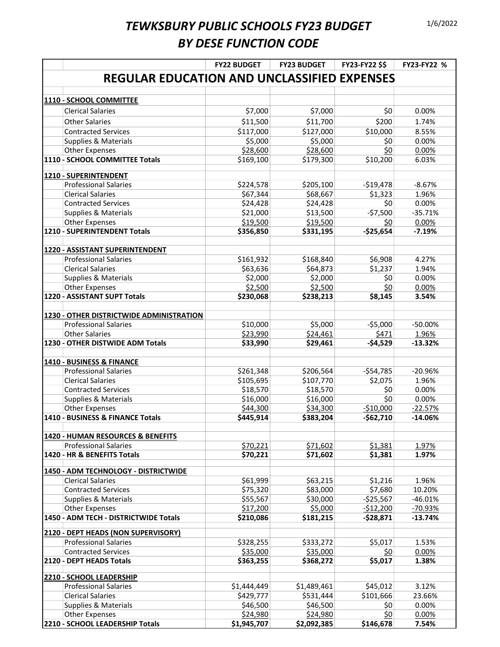|                                                           | <b>FY22 BUDGET</b> | <b>FY23 BUDGET</b> | FY23-FY22 \$\$ | FY23-FY22 % |
|-----------------------------------------------------------|--------------------|--------------------|----------------|-------------|
| <b>REGULAR EDUCATION AND UNCLASSIFIED EXPENSES</b>        |                    |                    |                |             |
|                                                           |                    |                    |                |             |
| 1110 - SCHOOL COMMITTEE                                   |                    |                    |                |             |
| <b>Clerical Salaries</b>                                  | \$7,000            | \$7,000            | \$0            | 0.00%       |
| <b>Other Salaries</b>                                     | \$11,500           | \$11,700           | \$200          | 1.74%       |
| <b>Contracted Services</b>                                | \$117,000          | \$127,000          | \$10,000       | 8.55%       |
| <b>Supplies &amp; Materials</b>                           | \$5,000            | \$5,000            | \$0            | 0.00%       |
| Other Expenses                                            | \$28,600           | \$28,600           | \$0            | 0.00%       |
| 1110 - SCHOOL COMMITTEE Totals                            | \$169,100          | \$179,300          | \$10,200       | 6.03%       |
| 1210 - SUPERINTENDENT                                     |                    |                    |                |             |
| <b>Professional Salaries</b>                              | \$224,578          | \$205,100          | $-$19,478$     | $-8.67%$    |
| <b>Clerical Salaries</b>                                  | \$67,344           | \$68,667           | \$1,323        | 1.96%       |
| <b>Contracted Services</b>                                | \$24,428           | \$24,428           | \$0            | 0.00%       |
| <b>Supplies &amp; Materials</b>                           | \$21,000           | \$13,500           | $-57,500$      | $-35.71%$   |
| Other Expenses                                            | \$19,500           | \$19,500           | <u>\$0</u>     | 0.00%       |
| 1210 - SUPERINTENDENT Totals                              | \$356,850          | \$331,195          | $-$25,654$     | $-7.19%$    |
| 1220 - ASSISTANT SUPERINTENDENT                           |                    |                    |                |             |
| <b>Professional Salaries</b>                              | \$161,932          | \$168,840          | \$6,908        | 4.27%       |
| <b>Clerical Salaries</b>                                  | \$63,636           | \$64,873           | \$1,237        | 1.94%       |
| <b>Supplies &amp; Materials</b>                           | \$2,000            | \$2,000            | \$0            | 0.00%       |
| Other Expenses                                            | \$2,500            | \$2,500            | \$0            | 0.00%       |
| 1220 - ASSISTANT SUPT Totals                              | \$230,068          | \$238,213          | \$8,145        | 3.54%       |
|                                                           |                    |                    |                |             |
| 1230 - OTHER DISTRICTWIDE ADMINISTRATION                  |                    |                    |                |             |
| <b>Professional Salaries</b>                              | \$10,000           | \$5,000            | $-55,000$      | $-50.00%$   |
| <b>Other Salaries</b>                                     | \$23,990           | \$24,461           | \$471          | 1.96%       |
| 1230 - OTHER DISTWIDE ADM Totals                          | \$33,990           | \$29,461           | $-54,529$      | -13.32%     |
|                                                           |                    |                    |                |             |
| 1410 - BUSINESS & FINANCE<br><b>Professional Salaries</b> | \$261,348          | \$206,564          | $-$54,785$     | $-20.96%$   |
| <b>Clerical Salaries</b>                                  | \$105,695          | \$107,770          | \$2,075        | 1.96%       |
| <b>Contracted Services</b>                                | \$18,570           | \$18,570           | \$0            | 0.00%       |
| Supplies & Materials                                      | \$16,000           | \$16,000           | \$0            | 0.00%       |
| Other Expenses                                            | \$44,300           | \$34,300           | $-$10,000$     | $-22.57%$   |
| 1410 - BUSINESS & FINANCE Totals                          | \$445,914          | \$383,204          | $-$62,710$     | $-14.06%$   |
|                                                           |                    |                    |                |             |
| 1420 - HUMAN RESOURCES & BENEFITS                         |                    |                    |                |             |
| <b>Professional Salaries</b>                              | \$70,221           | \$71,602           | \$1,381        | 1.97%       |
| 1420 - HR & BENEFITS Totals                               | \$70,221           | \$71,602           | \$1,381        | 1.97%       |
| 1450 - ADM TECHNOLOGY - DISTRICTWIDE                      |                    |                    |                |             |
| <b>Clerical Salaries</b>                                  | \$61,999           | \$63,215           | \$1,216        | 1.96%       |
| <b>Contracted Services</b>                                | \$75,320           | \$83,000           | \$7,680        | 10.20%      |
| <b>Supplies &amp; Materials</b>                           | \$55,567           | \$30,000           | $-$25,567$     | $-46.01%$   |
| <b>Other Expenses</b>                                     | \$17,200           | \$5,000            | $-512,200$     | -70.93%     |
| 1450 - ADM TECH - DISTRICTWIDE Totals                     | \$210,086          | \$181,215          | $-528,871$     | $-13.74%$   |
| 2120 - DEPT HEADS (NON SUPERVISORY)                       |                    |                    |                |             |
| <b>Professional Salaries</b>                              | \$328,255          | \$333,272          | \$5,017        | 1.53%       |
| <b>Contracted Services</b>                                | \$35,000           | \$35,000           | <u>\$0</u>     | 0.00%       |
| 2120 - DEPT HEADS Totals                                  | \$363,255          | \$368,272          | \$5,017        | 1.38%       |
| 2210 - SCHOOL LEADERSHIP                                  |                    |                    |                |             |
| <b>Professional Salaries</b>                              | \$1,444,449        | \$1,489,461        | \$45,012       | 3.12%       |
| <b>Clerical Salaries</b>                                  | \$429,777          | \$531,444          | \$101,666      | 23.66%      |
| <b>Supplies &amp; Materials</b>                           | \$46,500           | \$46,500           | \$0            | 0.00%       |
| <b>Other Expenses</b>                                     | \$24,980           | \$24,980           | \$0            | 0.00%       |
| 2210 - SCHOOL LEADERSHIP Totals                           | \$1,945,707        | \$2,092,385        | \$146,678      | 7.54%       |
|                                                           |                    |                    |                |             |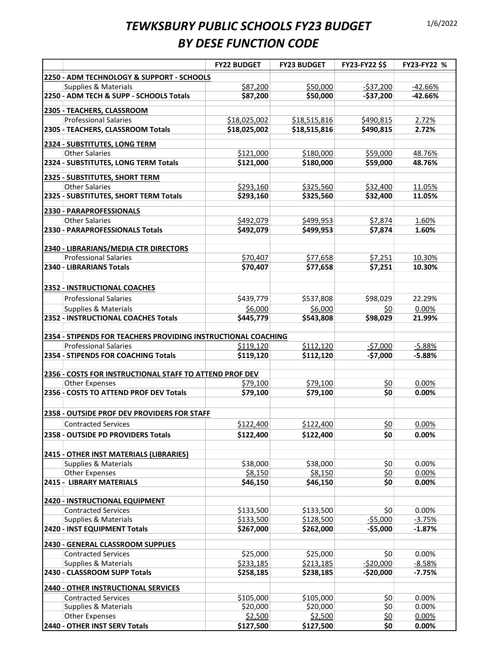|                                                                                  | <b>FY22 BUDGET</b>  | <b>FY23 BUDGET</b>  | FY23-FY22 \$\$    | FY23-FY22 %    |
|----------------------------------------------------------------------------------|---------------------|---------------------|-------------------|----------------|
| 2250 - ADM TECHNOLOGY & SUPPORT - SCHOOLS                                        |                     |                     |                   |                |
| Supplies & Materials                                                             | \$87,200            | \$50,000            | $-537,200$        | $-42.66%$      |
| 2250 - ADM TECH & SUPP - SCHOOLS Totals                                          | \$87,200            | \$50,000            | $-$37,200$        | $-42.66%$      |
|                                                                                  |                     |                     |                   |                |
| 2305 - TEACHERS, CLASSROOM                                                       |                     |                     |                   |                |
| <b>Professional Salaries</b>                                                     | \$18,025,002        | \$18,515,816        | \$490,815         | 2.72%          |
| 2305 - TEACHERS, CLASSROOM Totals                                                | \$18,025,002        | \$18,515,816        | \$490,815         | 2.72%          |
| 2324 - SUBSTITUTES, LONG TERM                                                    |                     |                     |                   |                |
| <b>Other Salaries</b>                                                            | \$121,000           | \$180,000           | \$59,000          | 48.76%         |
| 2324 - SUBSTITUTES, LONG TERM Totals                                             | \$121,000           | \$180,000           | \$59,000          | 48.76%         |
|                                                                                  |                     |                     |                   |                |
| 2325 - SUBSTITUTES, SHORT TERM                                                   |                     |                     |                   |                |
| <b>Other Salaries</b>                                                            | \$293,160           | \$325,560           | \$32,400          | 11.05%         |
| 2325 - SUBSTITUTES, SHORT TERM Totals                                            | \$293,160           | \$325,560           | \$32,400          | 11.05%         |
| 2330 - PARAPROFESSIONALS                                                         |                     |                     |                   |                |
| <b>Other Salaries</b>                                                            | \$492,079           | \$499,953           | \$7,874           | 1.60%          |
| 2330 - PARAPROFESSIONALS Totals                                                  | \$492,079           | \$499,953           | \$7,874           | 1.60%          |
|                                                                                  |                     |                     |                   |                |
| 2340 - LIBRARIANS/MEDIA CTR DIRECTORS                                            |                     |                     |                   |                |
| <b>Professional Salaries</b>                                                     | \$70,407            | \$77,658            | \$7,251           | 10.30%         |
| 2340 - LIBRARIANS Totals                                                         | \$70,407            | \$77,658            | \$7,251           | 10.30%         |
|                                                                                  |                     |                     |                   |                |
| 2352 - INSTRUCTIONAL COACHES                                                     |                     |                     |                   |                |
| <b>Professional Salaries</b>                                                     | \$439,779           | \$537,808           | \$98,029          | 22.29%         |
| <b>Supplies &amp; Materials</b>                                                  | \$6,000             | \$6,000             | <u>\$0</u>        | 0.00%          |
| 2352 - INSTRUCTIONAL COACHES Totals                                              | \$445,779           | \$543,808           | \$98,029          | 21.99%         |
|                                                                                  |                     |                     |                   |                |
| 2354 - STIPENDS FOR TEACHERS PROVIDING INSTRUCTIONAL COACHING                    |                     |                     |                   |                |
| <b>Professional Salaries</b>                                                     | \$119,120           | \$112,120           | $-57,000$         | $-5.88%$       |
| 2354 - STIPENDS FOR COACHING Totals                                              | \$119,120           | \$112,120           | $-$7,000$         | $-5.88%$       |
|                                                                                  |                     |                     |                   |                |
| 2356 - COSTS FOR INSTRUCTIONAL STAFF TO ATTEND PROF DEV<br><b>Other Expenses</b> | \$79,100            | \$79,100            |                   | 0.00%          |
| 2356 - COSTS TO ATTEND PROF DEV Totals                                           | \$79,100            | \$79,100            | <u>\$0</u><br>\$0 | 0.00%          |
|                                                                                  |                     |                     |                   |                |
| 2358 - OUTSIDE PROF DEV PROVIDERS FOR STAFF                                      |                     |                     |                   |                |
|                                                                                  |                     |                     |                   |                |
| <b>Contracted Services</b>                                                       | \$122,400           | \$122,400           | <u>\$0</u>        | 0.00%          |
| 2358 - OUTSIDE PD PROVIDERS Totals                                               | \$122,400           | \$122,400           | \$0               | 0.00%          |
|                                                                                  |                     |                     |                   |                |
| <b>2415 - OTHER INST MATERIALS (LIBRARIES)</b>                                   |                     |                     |                   |                |
| Supplies & Materials                                                             | \$38,000            | \$38,000            | \$0               | 0.00%          |
| <b>Other Expenses</b><br><b>2415 - LIBRARY MATERIALS</b>                         | \$8,150<br>\$46,150 | \$8,150<br>\$46,150 | \$0<br>\$0        | 0.00%<br>0.00% |
|                                                                                  |                     |                     |                   |                |
| 2420 - INSTRUCTIONAL EQUIPMENT                                                   |                     |                     |                   |                |
| <b>Contracted Services</b>                                                       | \$133,500           | \$133,500           | \$0               | 0.00%          |
| Supplies & Materials                                                             | \$133,500           | \$128,500           | $-55,000$         | $-3.75%$       |
| 2420 - INST EQUIPMENT Totals                                                     | \$267,000           | \$262,000           | $-$5,000$         | $-1.87%$       |
|                                                                                  |                     |                     |                   |                |
| 2430 - GENERAL CLASSROOM SUPPLIES                                                |                     |                     |                   |                |
| <b>Contracted Services</b>                                                       | \$25,000            | \$25,000            | \$0               | 0.00%          |
| Supplies & Materials                                                             | \$233,185           | \$213,185           | $-520,000$        | $-8.58%$       |
| 2430 - CLASSROOM SUPP Totals                                                     | \$258,185           | \$238,185           | $-$20,000$        | $-7.75%$       |
| <b>2440 - OTHER INSTRUCTIONAL SERVICES</b>                                       |                     |                     |                   |                |
| <b>Contracted Services</b>                                                       | \$105,000           | \$105,000           | \$0               | 0.00%          |
| Supplies & Materials                                                             | \$20,000            | \$20,000            | \$0               | 0.00%          |
| <b>Other Expenses</b>                                                            | \$2,500             | \$2,500             | <u>\$0</u>        | 0.00%          |
| 2440 - OTHER INST SERV Totals                                                    | \$127,500           | \$127,500           | \$0               | 0.00%          |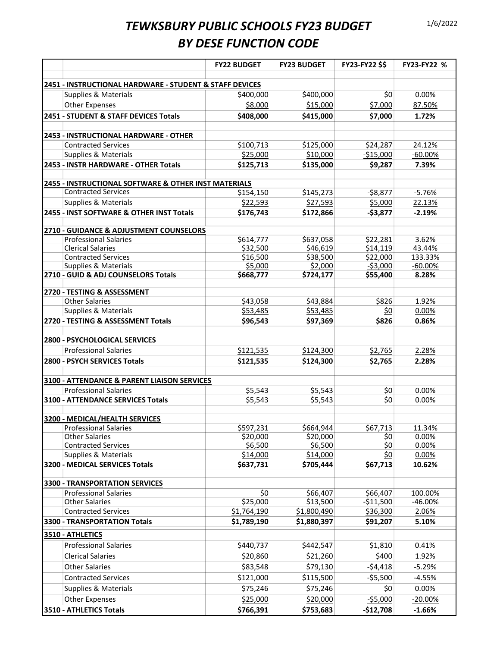|                                                               | <b>FY22 BUDGET</b>  | <b>FY23 BUDGET</b>  | <b>FY23-FY22 \$\$</b> | FY23-FY22 %    |  |
|---------------------------------------------------------------|---------------------|---------------------|-----------------------|----------------|--|
| 2451 - INSTRUCTIONAL HARDWARE - STUDENT & STAFF DEVICES       |                     |                     |                       |                |  |
| Supplies & Materials                                          | \$400,000           | \$400,000           | \$0                   | 0.00%          |  |
| Other Expenses                                                | \$8,000             | \$15,000            | \$7,000               | 87.50%         |  |
| 2451 - STUDENT & STAFF DEVICES Totals                         | \$408,000           | \$415,000           | \$7,000               | 1.72%          |  |
| 2453 - INSTRUCTIONAL HARDWARE - OTHER                         |                     |                     |                       |                |  |
| <b>Contracted Services</b>                                    | \$100,713           | \$125,000           | \$24,287              | 24.12%         |  |
| <b>Supplies &amp; Materials</b>                               | \$25,000            | \$10,000            | $-515,000$            | $-60.00%$      |  |
| 2453 - INSTR HARDWARE - OTHER Totals                          | \$125,713           | \$135,000           | \$9,287               | 7.39%          |  |
| 2455 - INSTRUCTIONAL SOFTWARE & OTHER INST MATERIALS          |                     |                     |                       |                |  |
| Contracted Services                                           | \$154,150           | \$145,273           | $-58,877$             | $-5.76%$       |  |
| Supplies & Materials                                          | \$22,593            | \$27,593            | \$5,000               | 22.13%         |  |
| 2455 - INST SOFTWARE & OTHER INST Totals                      | \$176,743           | \$172,866           | $-$3,877$             | $-2.19%$       |  |
| 2710 - GUIDANCE & ADJUSTMENT COUNSELORS                       |                     |                     |                       |                |  |
| <b>Professional Salaries</b>                                  | \$614,777           | \$637,058           | \$22,281              | 3.62%          |  |
| <b>Clerical Salaries</b>                                      | \$32,500            | \$46,619            | \$14,119              | 43.44%         |  |
| <b>Contracted Services</b>                                    | \$16,500            | \$38,500            | \$22,000              | 133.33%        |  |
| <b>Supplies &amp; Materials</b>                               | \$5,000             | \$2,000             | $-53,000$             | $-60.00%$      |  |
| 2710 - GUID & ADJ COUNSELORS Totals                           | \$668,777           | \$724,177           | \$55,400              | 8.28%          |  |
| 2720 - TESTING & ASSESSMENT                                   |                     |                     |                       |                |  |
| <b>Other Salaries</b>                                         | \$43,058            | \$43,884            | \$826                 | 1.92%          |  |
| <b>Supplies &amp; Materials</b>                               | \$53,485            | \$53,485            | <u>\$0</u>            | 0.00%          |  |
| 2720 - TESTING & ASSESSMENT Totals                            | \$96,543            | \$97,369            | \$826                 | 0.86%          |  |
| 2800 - PSYCHOLOGICAL SERVICES                                 |                     |                     |                       |                |  |
| <b>Professional Salaries</b>                                  | \$121,535           | \$124,300           | \$2,765               | 2.28%          |  |
| 2800 - PSYCH SERVICES Totals                                  | \$121,535           | \$124,300           | \$2,765               | 2.28%          |  |
| 3100 - ATTENDANCE & PARENT LIAISON SERVICES                   |                     |                     |                       |                |  |
| <b>Professional Salaries</b>                                  | \$5,543             | \$5,543             | \$0                   | 0.00%          |  |
| <b>3100 - ATTENDANCE SERVICES Totals</b>                      | \$5,543             | \$5,543             | \$0                   | 0.00%          |  |
|                                                               |                     |                     |                       |                |  |
| 3200 - MEDICAL/HEALTH SERVICES                                |                     |                     |                       |                |  |
| <b>Professional Salaries</b>                                  | \$597,231           | \$664,944           | \$67,713              | 11.34%         |  |
| <b>Other Salaries</b>                                         | \$20,000            | \$20,000            | \$0                   | 0.00%          |  |
| <b>Contracted Services</b><br><b>Supplies &amp; Materials</b> | \$6,500<br>\$14,000 | \$6,500<br>\$14,000 | \$0<br>\$0            | 0.00%<br>0.00% |  |
| 3200 - MEDICAL SERVICES Totals                                | \$637,731           | \$705,444           | \$67,713              | 10.62%         |  |
|                                                               |                     |                     |                       |                |  |
| <b>3300 - TRANSPORTATION SERVICES</b>                         |                     |                     |                       |                |  |
| <b>Professional Salaries</b>                                  | \$0                 | \$66,407            | \$66,407              | 100.00%        |  |
| <b>Other Salaries</b>                                         | \$25,000            | \$13,500            | $-$11,500$            | -46.00%        |  |
| <b>Contracted Services</b>                                    | \$1,764,190         | \$1,800,490         | \$36,300              | 2.06%          |  |
| 3300 - TRANSPORTATION Totals                                  | \$1,789,190         | \$1,880,397         | \$91,207              | 5.10%          |  |
| 3510 - ATHLETICS                                              |                     |                     |                       |                |  |
| <b>Professional Salaries</b>                                  | \$440,737           | \$442,547           | \$1,810               | 0.41%          |  |
| <b>Clerical Salaries</b>                                      | \$20,860            | \$21,260            | \$400                 | 1.92%          |  |
| <b>Other Salaries</b>                                         | \$83,548            | \$79,130            | $-54,418$             | $-5.29%$       |  |
| <b>Contracted Services</b>                                    | \$121,000           | \$115,500           | $-55,500$             | $-4.55%$       |  |
| Supplies & Materials                                          | \$75,246            | \$75,246            | \$0                   | 0.00%          |  |
| Other Expenses                                                | \$25,000            | \$20,000            | $-55,000$             | $-20.00%$      |  |
| 3510 - ATHLETICS Totals                                       | \$766,391           | \$753,683           | $-$12,708$            | $-1.66%$       |  |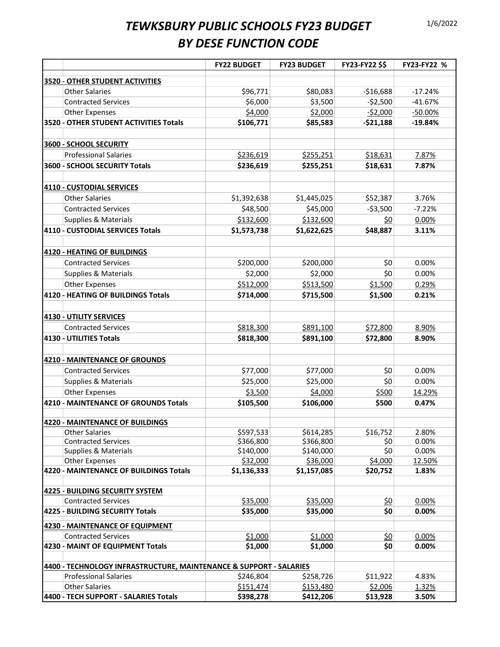|                                                                        | <b>FY22 BUDGET</b>      | <b>FY23 BUDGET</b> | <b>FY23-FY22 \$\$</b> | FY23-FY22 % |
|------------------------------------------------------------------------|-------------------------|--------------------|-----------------------|-------------|
| 3520 - OTHER STUDENT ACTIVITIES                                        |                         |                    |                       |             |
| <b>Other Salaries</b>                                                  | \$96,771                | \$80,083           | $-$16,688$            | $-17.24%$   |
| <b>Contracted Services</b>                                             | \$6,000                 | \$3,500            | $-52,500$             | $-41.67%$   |
| Other Expenses                                                         | \$4,000                 | \$2,000            | $-52,000$             | $-50.00%$   |
| 3520 - OTHER STUDENT ACTIVITIES Totals                                 | \$106,771               | \$85,583           | $-521,188$            | $-19.84%$   |
|                                                                        |                         |                    |                       |             |
| 3600 - SCHOOL SECURITY                                                 |                         |                    |                       |             |
| <b>Professional Salaries</b>                                           | \$236,619               | \$255,251          | \$18,631              | 7.87%       |
| 3600 - SCHOOL SECURITY Totals                                          | \$236,619               | \$255,251          | \$18,631              | 7.87%       |
|                                                                        |                         |                    |                       |             |
| <b>4110 - CUSTODIAL SERVICES</b>                                       |                         |                    |                       |             |
| <b>Other Salaries</b>                                                  | \$1,392,638             | \$1,445,025        | \$52,387              | 3.76%       |
| <b>Contracted Services</b>                                             | \$48,500                | \$45,000           | $-53,500$             | $-7.22%$    |
| <b>Supplies &amp; Materials</b>                                        | \$132,600               | \$132,600          | <u>\$0</u>            | 0.00%       |
| 4110 - CUSTODIAL SERVICES Totals                                       | \$1,573,738             | \$1,622,625        | \$48,887              | 3.11%       |
|                                                                        |                         |                    |                       |             |
| 4120 - HEATING OF BUILDINGS                                            |                         |                    |                       |             |
| <b>Contracted Services</b>                                             | \$200,000               | \$200,000          | \$0                   | 0.00%       |
| <b>Supplies &amp; Materials</b>                                        | \$2,000                 | \$2,000            | \$0                   | 0.00%       |
| Other Expenses                                                         | \$512,000               | \$513,500          | \$1,500               | 0.29%       |
| 4120 - HEATING OF BUILDINGS Totals                                     | \$714,000               | \$715,500          | \$1,500               | 0.21%       |
|                                                                        |                         |                    |                       |             |
| <b>4130 - UTILITY SERVICES</b>                                         |                         |                    |                       |             |
| <b>Contracted Services</b>                                             | \$818,300               | \$891,100          | \$72,800              | 8.90%       |
| 4130 - UTILITIES Totals                                                | \$818,300               | \$891,100          | \$72,800              | 8.90%       |
|                                                                        |                         |                    |                       |             |
| <b>4210 - MAINTENANCE OF GROUNDS</b>                                   |                         |                    |                       |             |
| <b>Contracted Services</b>                                             | \$77,000                | \$77,000           | \$0                   | 0.00%       |
| <b>Supplies &amp; Materials</b>                                        | \$25,000                | \$25,000           | \$0                   | 0.00%       |
| <b>Other Expenses</b>                                                  | \$3,500                 | \$4,000            | \$500                 | 14.29%      |
| 4210 - MAINTENANCE OF GROUNDS Totals                                   | \$105,500               | \$106,000          | \$500                 | 0.47%       |
|                                                                        |                         |                    |                       |             |
| <b>14220 - MAINTENANCE OF BUILDINGS</b>                                |                         |                    |                       |             |
| <b>Other Salaries</b>                                                  | \$597,533               | \$614,285          | \$16,752              | 2.80%       |
| <b>Contracted Services</b>                                             | \$366,800               | \$366,800          | \$0                   | 0.00%       |
| <b>Supplies &amp; Materials</b>                                        | \$140,000               | \$140,000          | \$0                   | 0.00%       |
| <b>Other Expenses</b><br><b>4220 - MAINTENANCE OF BUILDINGS Totals</b> | \$32,000<br>\$1,136,333 | \$36,000           | \$4,000               | 12.50%      |
|                                                                        |                         | \$1,157,085        | \$20,752              | 1.83%       |
| <b>4225 - BUILDING SECURITY SYSTEM</b>                                 |                         |                    |                       |             |
| <b>Contracted Services</b>                                             | \$35,000                | \$35,000           | <u>\$0</u>            | 0.00%       |
| 4225 - BUILDING SECURITY Totals                                        | \$35,000                | \$35,000           | \$0                   | 0.00%       |
|                                                                        |                         |                    |                       |             |
| 4230 - MAINTENANCE OF EQUIPMENT                                        |                         |                    |                       |             |
| <b>Contracted Services</b>                                             | \$1,000                 | \$1,000            | \$0                   | 0.00%       |
| 4230 - MAINT OF EQUIPMENT Totals                                       | \$1,000                 | \$1,000            | \$0                   | 0.00%       |
| 4400 - TECHNOLOGY INFRASTRUCTURE, MAINTENANCE & SUPPORT - SALARIES     |                         |                    |                       |             |
| <b>Professional Salaries</b>                                           | \$246,804               | \$258,726          | \$11,922              | 4.83%       |
| <b>Other Salaries</b>                                                  | \$151,474               | \$153,480          | \$2,006               | 1.32%       |
| 4400 - TECH SUPPORT - SALARIES Totals                                  | \$398,278               | \$412,206          | \$13,928              | 3.50%       |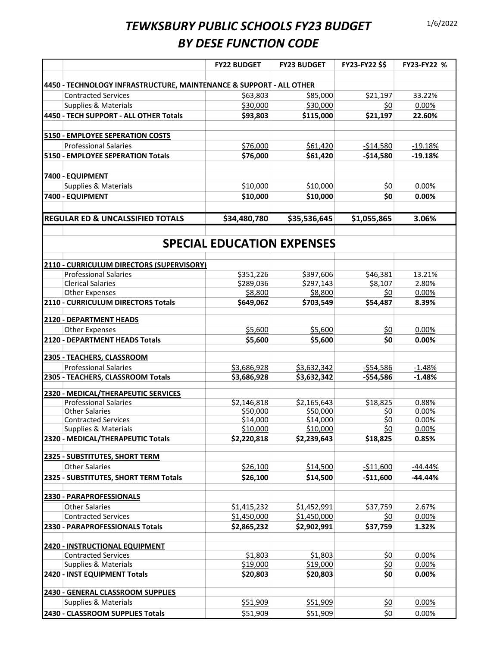|                                                                     | <b>FY22 BUDGET</b>                | <b>FY23 BUDGET</b>         | FY23-FY22 \$\$          | FY23-FY22 %          |
|---------------------------------------------------------------------|-----------------------------------|----------------------------|-------------------------|----------------------|
|                                                                     |                                   |                            |                         |                      |
| 4450 - TECHNOLOGY INFRASTRUCTURE, MAINTENANCE & SUPPORT - ALL OTHER |                                   |                            |                         |                      |
| <b>Contracted Services</b>                                          | \$63,803                          | \$85,000                   | \$21,197                | 33.22%               |
| Supplies & Materials                                                | \$30,000                          | \$30,000                   | \$0                     | 0.00%                |
| 4450 - TECH SUPPORT - ALL OTHER Totals                              | \$93,803                          | \$115,000                  | \$21,197                | 22.60%               |
| <b>5150 - EMPLOYEE SEPERATION COSTS</b>                             |                                   |                            |                         |                      |
| <b>Professional Salaries</b>                                        | \$76,000                          | \$61,420                   | $-$14,580$              | $-19.18%$            |
| 5150 - EMPLOYEE SEPERATION Totals                                   | \$76,000                          | \$61,420                   | $-514,580$              | $-19.18%$            |
|                                                                     |                                   |                            |                         |                      |
| 7400 - EQUIPMENT                                                    |                                   |                            |                         |                      |
| Supplies & Materials                                                | \$10,000                          | \$10,000                   | <u>\$0</u>              | 0.00%                |
| 7400 - EQUIPMENT                                                    | \$10,000                          | \$10,000                   | \$0                     | 0.00%                |
|                                                                     |                                   |                            |                         |                      |
| <b>REGULAR ED &amp; UNCALSSIFIED TOTALS</b>                         | \$34,480,780                      | \$35,536,645               | \$1,055,865             | 3.06%                |
|                                                                     |                                   |                            |                         |                      |
|                                                                     | <b>SPECIAL EDUCATION EXPENSES</b> |                            |                         |                      |
| 2110 - CURRICULUM DIRECTORS (SUPERVISORY)                           |                                   |                            |                         |                      |
| <b>Professional Salaries</b>                                        | \$351,226                         | \$397,606                  | \$46,381                | 13.21%               |
| <b>Clerical Salaries</b>                                            | \$289,036                         | \$297,143                  | \$8,107                 | 2.80%                |
| <b>Other Expenses</b>                                               | \$8,800                           | \$8,800                    | \$0                     | 0.00%                |
| 2110 - CURRICULUM DIRECTORS Totals                                  | \$649,062                         | \$703,549                  | \$54,487                | 8.39%                |
| 2120 - DEPARTMENT HEADS                                             |                                   |                            |                         |                      |
| <b>Other Expenses</b>                                               | \$5,600                           | \$5,600                    | <u>\$0</u>              | 0.00%                |
| 2120 - DEPARTMENT HEADS Totals                                      | \$5,600                           | \$5,600                    | \$0                     | 0.00%                |
| 2305 - TEACHERS, CLASSROOM                                          |                                   |                            |                         |                      |
| <b>Professional Salaries</b>                                        | \$3,686,928                       |                            |                         |                      |
| 2305 - TEACHERS, CLASSROOM Totals                                   | \$3,686,928                       | \$3,632,342<br>\$3,632,342 | -\$54,586<br>$-$54,586$ | $-1.48%$<br>$-1.48%$ |
|                                                                     |                                   |                            |                         |                      |
| 2320 - MEDICAL/THERAPEUTIC SERVICES                                 |                                   |                            |                         |                      |
| <b>Professional Salaries</b>                                        | \$2,146,818                       | \$2,165,643                | \$18,825                | 0.88%                |
| <b>Other Salaries</b><br><b>Contracted Services</b>                 | \$50,000<br>\$14,000              | \$50,000<br>\$14,000       | \$0<br>\$0              | 0.00%<br>0.00%       |
| Supplies & Materials                                                | \$10,000                          | \$10,000                   | <u>\$0</u>              | 0.00%                |
| 2320 - MEDICAL/THERAPEUTIC Totals                                   | \$2,220,818                       | \$2,239,643                | \$18,825                | 0.85%                |
|                                                                     |                                   |                            |                         |                      |
| 2325 - SUBSTITUTES, SHORT TERM                                      |                                   |                            |                         |                      |
| <b>Other Salaries</b>                                               | \$26,100                          | \$14,500                   | $-511,600$              | -44.44%              |
| 2325 - SUBSTITUTES, SHORT TERM Totals                               | \$26,100                          | \$14,500                   | $-$11,600$              | $-44.44%$            |
| 2330 - PARAPROFESSIONALS                                            |                                   |                            |                         |                      |
| <b>Other Salaries</b>                                               | \$1,415,232                       | \$1,452,991                | \$37,759                | 2.67%                |
| <b>Contracted Services</b>                                          | \$1,450,000                       | \$1,450,000                | \$0                     | 0.00%                |
| 2330 - PARAPROFESSIONALS Totals                                     | \$2,865,232                       | \$2,902,991                | \$37,759                | 1.32%                |
|                                                                     |                                   |                            |                         |                      |
| 2420 - INSTRUCTIONAL EQUIPMENT                                      |                                   |                            |                         |                      |
| <b>Contracted Services</b>                                          | \$1,803                           | \$1,803                    | \$0                     | 0.00%                |
| <b>Supplies &amp; Materials</b>                                     | \$19,000                          | \$19,000                   | <u>\$0</u>              | 0.00%                |
| 2420 - INST EQUIPMENT Totals                                        | \$20,803                          | \$20,803                   | \$0                     | 0.00%                |
| 2430 - GENERAL CLASSROOM SUPPLIES                                   |                                   |                            |                         |                      |
| <b>Supplies &amp; Materials</b>                                     | \$51,909                          | \$51,909                   | <u>\$0</u>              | 0.00%                |
| 2430 - CLASSROOM SUPPLIES Totals                                    | \$51,909                          | \$51,909                   | \$0                     | 0.00%                |
|                                                                     |                                   |                            |                         |                      |